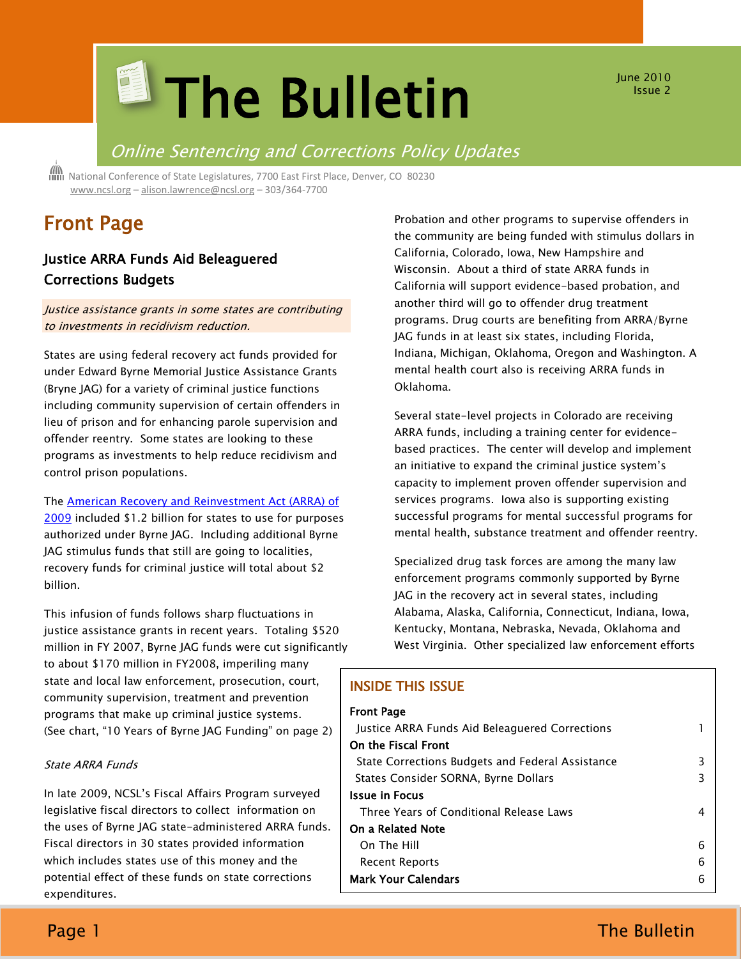# **El The Bulletin**

June 2010 Issue 2

# Online Sentencing and Corrections Policy Updates

 National Conference of State Legislatures, 7700 East First Place, Denver, CO 80230 [www.ncsl.org](http://www.ncsl.org/) – [alison.lawrence@ncsl.org](mailto:Alison.lawrence@ncsl.org) – 303/364-7700

# Front Page

## Justice ARRA Funds Aid Beleaguered Corrections Budgets

Justice assistance grants in some states are contributing to investments in recidivism reduction.

States are using federal recovery act funds provided for under Edward Byrne Memorial Justice Assistance Grants (Bryne JAG) for a variety of criminal justice functions including community supervision of certain offenders in lieu of prison and for enhancing parole supervision and offender reentry. Some states are looking to these programs as investments to help reduce recidivism and control prison populations.

The [American Recovery and Reinvestment Act \(ARRA\) of](http://www.ncsl.org/?tabid=16779)  [2009](http://www.ncsl.org/?tabid=16779) included \$1.2 billion for states to use for purposes authorized under Byrne JAG. Including additional Byrne JAG stimulus funds that still are going to localities, recovery funds for criminal justice will total about \$2 billion.

This infusion of funds follows sharp fluctuations in justice assistance grants in recent years. Totaling \$520 million in FY 2007, Byrne JAG funds were cut significantly to about \$170 million in FY2008, imperiling many state and local law enforcement, prosecution, court, community supervision, treatment and prevention programs that make up criminal justice systems. (See chart, "10 Years of Byrne JAG Funding" on page 2)

#### State ARRA Funds

In late 2009, NCSL's Fiscal Affairs Program surveyed legislative fiscal directors to collect information on the uses of Byrne JAG state-administered ARRA funds. Fiscal directors in 30 states provided information which includes states use of this money and the potential effect of these funds on state corrections expenditures.

Probation and other programs to supervise offenders in the community are being funded with stimulus dollars in California, Colorado, Iowa, New Hampshire and Wisconsin. About a third of state ARRA funds in California will support evidence-based probation, and another third will go to offender drug treatment programs. Drug courts are benefiting from ARRA/Byrne JAG funds in at least six states, including Florida, Indiana, Michigan, Oklahoma, Oregon and Washington. A mental health court also is receiving ARRA funds in Oklahoma.

Several state-level projects in Colorado are receiving ARRA funds, including a training center for evidencebased practices. The center will develop and implement an initiative to expand the criminal justice system's capacity to implement proven offender supervision and services programs. Iowa also is supporting existing successful programs for mental successful programs for mental health, substance treatment and offender reentry.

Specialized drug task forces are among the many law enforcement programs commonly supported by Byrne JAG in the recovery act in several states, including Alabama, Alaska, California, Connecticut, Indiana, Iowa, Kentucky, Montana, Nebraska, Nevada, Oklahoma and West Virginia. Other specialized law enforcement efforts

## INSIDE THIS ISSUE

| <b>Front Page</b>                                |   |
|--------------------------------------------------|---|
| Justice ARRA Funds Aid Beleaguered Corrections   |   |
| On the Fiscal Front                              |   |
| State Corrections Budgets and Federal Assistance | 3 |
| States Consider SORNA, Byrne Dollars             | 3 |
| <b>Issue in Focus</b>                            |   |
| Three Years of Conditional Release Laws          | 4 |
| On a Related Note                                |   |
| On The Hill                                      | 6 |
| <b>Recent Reports</b>                            | 6 |
| <b>Mark Your Calendars</b>                       | 6 |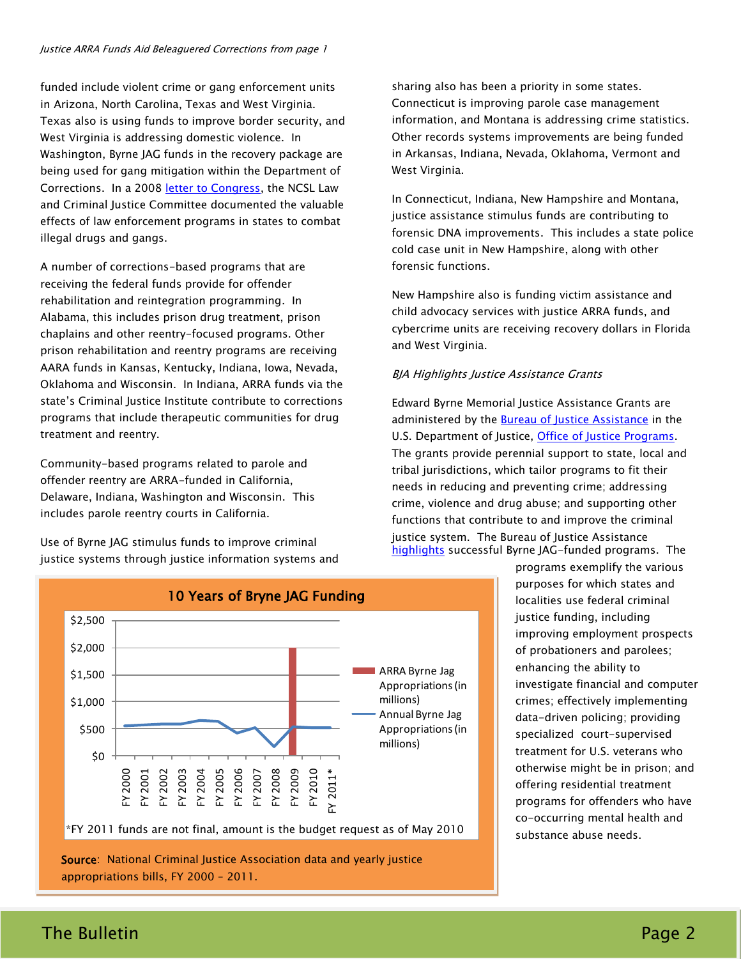funded include violent crime or gang enforcement units in Arizona, North Carolina, Texas and West Virginia. Texas also is using funds to improve border security, and West Virginia is addressing domestic violence. In Washington, Byrne JAG funds in the recovery package are being used for gang mitigation within the Department of Corrections. In a 2008 [letter to Congress,](http://www.ncsl.org/default.aspx?tabid=16180) the NCSL Law and Criminal Justice Committee documented the valuable effects of law enforcement programs in states to combat illegal drugs and gangs.

A number of corrections-based programs that are receiving the federal funds provide for offender rehabilitation and reintegration programming. In Alabama, this includes prison drug treatment, prison chaplains and other reentry-focused programs. Other prison rehabilitation and reentry programs are receiving AARA funds in Kansas, Kentucky, Indiana, Iowa, Nevada, Oklahoma and Wisconsin. In Indiana, ARRA funds via the state's Criminal Justice Institute contribute to corrections programs that include therapeutic communities for drug treatment and reentry.

Community-based programs related to parole and offender reentry are ARRA-funded in California, Delaware, Indiana, Washington and Wisconsin. This includes parole reentry courts in California.

Use of Byrne JAG stimulus funds to improve criminal justice systems through justice information systems and

sharing also has been a priority in some states. Connecticut is improving parole case management information, and Montana is addressing crime statistics. Other records systems improvements are being funded in Arkansas, Indiana, Nevada, Oklahoma, Vermont and West Virginia.

In Connecticut, Indiana, New Hampshire and Montana, justice assistance stimulus funds are contributing to forensic DNA improvements. This includes a state police cold case unit in New Hampshire, along with other forensic functions.

New Hampshire also is funding victim assistance and child advocacy services with justice ARRA funds, and cybercrime units are receiving recovery dollars in Florida and West Virginia.

#### BJA Highlights Justice Assistance Grants

Edward Byrne Memorial Justice Assistance Grants are administered by the **Bureau of Justice Assistance** in the U.S. Department of Justice, [Office of Justice Programs.](http://www.ojp.usdoj.gov/flash.htm) The grants provide perennial support to state, local and tribal jurisdictions, which tailor programs to fit their needs in reducing and preventing crime; addressing crime, violence and drug abuse; and supporting other functions that contribute to and improve the criminal justice system. The Bureau of Justice Assistance [highlights](http://www.ojp.usdoj.gov/BJA/programs/jagsuccess.html) successful Byrne JAG-funded programs. The



Ī

programs exemplify the various purposes for which states and localities use federal criminal justice funding, including improving employment prospects of probationers and parolees; enhancing the ability to investigate financial and computer crimes; effectively implementing data-driven policing; providing specialized court-supervised treatment for U.S. veterans who otherwise might be in prison; and offering residential treatment programs for offenders who have co-occurring mental health and substance abuse needs.

# appropriations bills, FY 2000 – 2011.

# The Bulletin **Page 2** and the Bulletin Page 2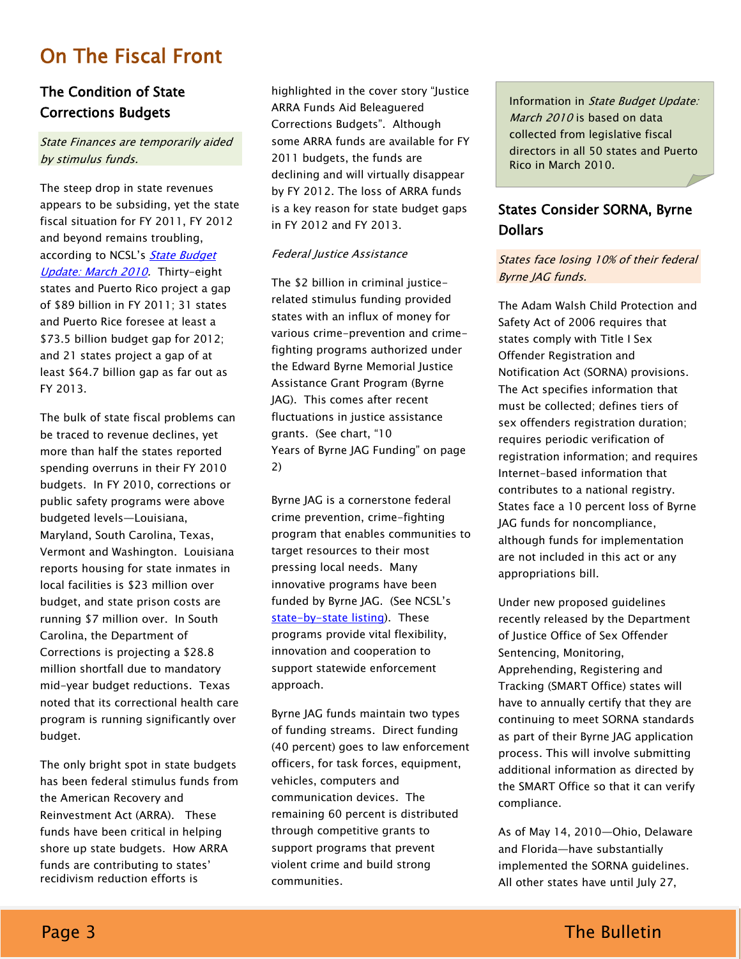# On The Fiscal Front

# The Condition of State Corrections Budgets

### State Finances are temporarily aided by stimulus funds.

The steep drop in state revenues appears to be subsiding, yet the state fiscal situation for FY 2011, FY 2012 and beyond remains troubling, according to NCSL's State Budget [Update: March 2010.](http://www.ncsl.org/?tabid=20157) Thirty-eight states and Puerto Rico project a gap of \$89 billion in FY 2011; 31 states and Puerto Rice foresee at least a \$73.5 billion budget gap for 2012; and 21 states project a gap of at least \$64.7 billion gap as far out as FY 2013.

The bulk of state fiscal problems can be traced to revenue declines, yet more than half the states reported spending overruns in their FY 2010 budgets. In FY 2010, corrections or public safety programs were above budgeted levels—Louisiana, Maryland, South Carolina, Texas, Vermont and Washington. Louisiana reports housing for state inmates in local facilities is \$23 million over budget, and state prison costs are running \$7 million over. In South Carolina, the Department of Corrections is projecting a \$28.8 million shortfall due to mandatory mid-year budget reductions. Texas noted that its correctional health care program is running significantly over budget.

The only bright spot in state budgets has been federal stimulus funds from the American Recovery and Reinvestment Act (ARRA). These funds have been critical in helping shore up state budgets. How ARRA funds are contributing to states' recidivism reduction efforts is

highlighted in the cover story "Justice ARRA Funds Aid Beleaguered Corrections Budgets". Although some ARRA funds are available for FY 2011 budgets, the funds are declining and will virtually disappear by FY 2012. The loss of ARRA funds is a key reason for state budget gaps in FY 2012 and FY 2013.

### Federal Justice Assistance

The \$2 billion in criminal justicerelated stimulus funding provided states with an influx of money for various crime-prevention and crimefighting programs authorized under the Edward Byrne Memorial Justice Assistance Grant Program (Byrne JAG). This comes after recent fluctuations in justice assistance grants. (See chart, "10 Years of Byrne JAG Funding" on page 2)

Byrne JAG is a cornerstone federal crime prevention, crime-fighting program that enables communities to target resources to their most pressing local needs. Many innovative programs have been funded by Byrne JAG. (See NCSL's [state-by-state listing\)](http://www.ncsl.org/default.aspx?tabid=12700). These programs provide vital flexibility, innovation and cooperation to support statewide enforcement approach.

Byrne JAG funds maintain two types of funding streams. Direct funding (40 percent) goes to law enforcement officers, for task forces, equipment, vehicles, computers and communication devices. The remaining 60 percent is distributed through competitive grants to support programs that prevent violent crime and build strong communities.

Information in State Budget Update: March 2010 is based on data collected from legislative fiscal directors in all 50 states and Puerto Rico in March 2010.

## States Consider SORNA, Byrne **Dollars**

## States face losing 10% of their federal Byrne JAG funds.

The Adam Walsh Child Protection and Safety Act of 2006 requires that states comply with Title I Sex Offender Registration and Notification Act (SORNA) provisions. The Act specifies information that must be collected; defines tiers of sex offenders registration duration; requires periodic verification of registration information; and requires Internet-based information that contributes to a national registry. States face a 10 percent loss of Byrne JAG funds for noncompliance, although funds for implementation are not included in this act or any appropriations bill.

Under new proposed guidelines recently released by the Department of Justice Office of Sex Offender Sentencing, Monitoring, Apprehending, Registering and Tracking (SMART Office) states will have to annually certify that they are continuing to meet SORNA standards as part of their Byrne JAG application process. This will involve submitting additional information as directed by the SMART Office so that it can verify compliance.

As of May 14, 2010—Ohio, Delaware and Florida—have substantially implemented the SORNA guidelines. All other states have until July 27,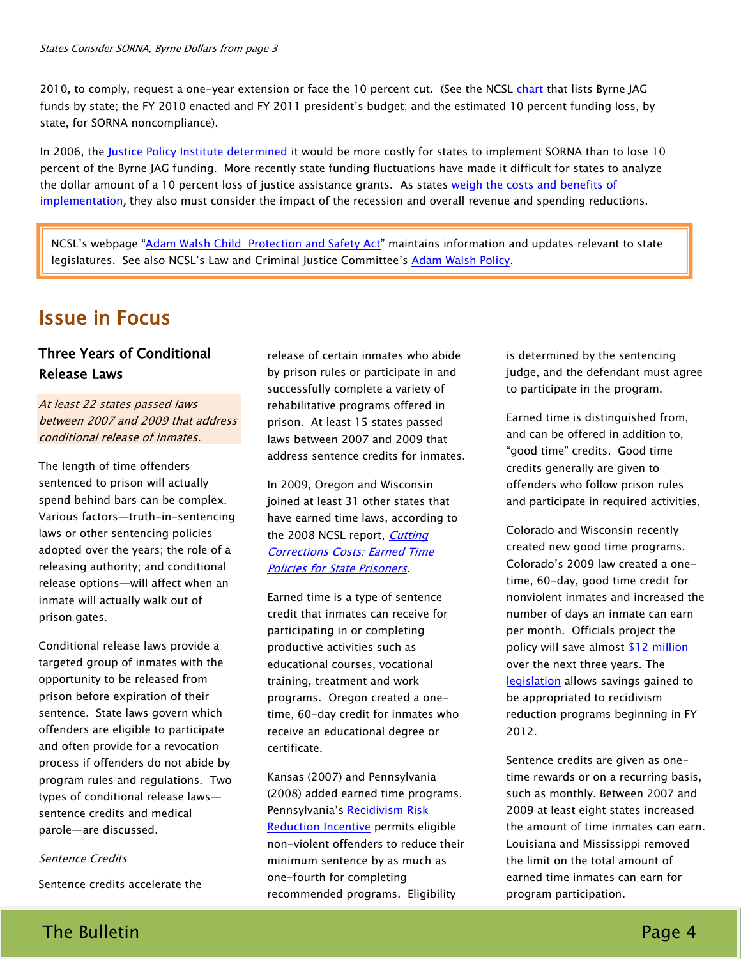2010, to comply, request a one-year extension or face the 10 percent cut. (See the NCSL [chart](http://www.ncsl.org/Portals/1/documents/cj/jagstatedollars.pdf) that lists Byrne JAG funds by state; the FY 2010 enacted and FY 2011 president's budget; and the estimated 10 percent funding loss, by state, for SORNA noncompliance).

In 2006, the [Justice Policy Institute determined](http://www.justicepolicy.org/images/upload/08-08_FAC_SORNACosts_JJ.pdf) it would be more costly for states to implement SORNA than to lose 10 percent of the Byrne JAG funding. More recently state funding fluctuations have made it difficult for states to analyze the dollar amount of a 10 percent loss of justice assistance grants. As states [weigh the costs and benefits of](http://www.ncsl.org/?tabid=19499)  [implementation](http://www.ncsl.org/?tabid=19499), they also must consider the impact of the recession and overall revenue and spending reductions.

NCSL's webpage "[Adam Walsh Child Protection and Safety Act](http://www.ncsl.org/?tabid=12696)" maintains information and updates relevant to state legislatures. See also NCSL's Law and Criminal Justice Committee's [Adam Walsh Policy.](http://www.ncsl.org/Default.aspx?TabID=773&tabs=855,27,671#Adman_Walsh)

# Issue in Focus

## Three Years of Conditional Release Laws

At least 22 states passed laws between 2007 and 2009 that address conditional release of inmates.

The length of time offenders sentenced to prison will actually spend behind bars can be complex. Various factors—truth-in-sentencing laws or other sentencing policies adopted over the years; the role of a releasing authority; and conditional release options—will affect when an inmate will actually walk out of prison gates.

Conditional release laws provide a targeted group of inmates with the opportunity to be released from prison before expiration of their sentence. State laws govern which offenders are eligible to participate and often provide for a revocation process if offenders do not abide by program rules and regulations. Two types of conditional release laws sentence credits and medical parole—are discussed.

#### Sentence Credits

Sentence credits accelerate the

release of certain inmates who abide by prison rules or participate in and successfully complete a variety of rehabilitative programs offered in prison. At least 15 states passed laws between 2007 and 2009 that address sentence credits for inmates.

In 2009, Oregon and Wisconsin joined at least 31 other states that have earned time laws, according to the 2008 NCSL report, *Cutting* **Corrections Costs: Earned Time** [Policies for State Prisoners](http://www.ncsl.org/Portals/1/Documents/cj/Earned_time_report.pdf).

Earned time is a type of sentence credit that inmates can receive for participating in or completing productive activities such as educational courses, vocational training, treatment and work programs. Oregon created a onetime, 60-day credit for inmates who receive an educational degree or certificate.

Kansas (2007) and Pennsylvania (2008) added earned time programs. Pennsylvania's [Recidivism Risk](http://www.portal.state.pa.us/portal/server.pt/community/department_of_corrections/4604/recidivism_risk_reduction_incentive/666871)  [Reduction Incentive](http://www.portal.state.pa.us/portal/server.pt/community/department_of_corrections/4604/recidivism_risk_reduction_incentive/666871) permits eligible non-violent offenders to reduce their minimum sentence by as much as one-fourth for completing recommended programs. Eligibility

is determined by the sentencing judge, and the defendant must agree to participate in the program.

Earned time is distinguished from, and can be offered in addition to, ―good time‖ credits. Good time credits generally are given to offenders who follow prison rules and participate in required activities,

Colorado and Wisconsin recently created new good time programs. Colorado's 2009 law created a onetime, 60-day, good time credit for nonviolent inmates and increased the number of days an inmate can earn per month. Officials project the policy will save almost [\\$12 million](http://www.leg.state.co.us/clics/clics2009a/csl.nsf/fsbillcont3/0E25F6511D550D928725759A0051EBEB?Open&file=HB1351_f1.pdf) over the next three years. The [legislation](http://www.leg.state.co.us/clics/clics2009a/csl.nsf/fsbillcont3/0E25F6511D550D928725759A0051EBEB?Open&file=HB1351_f1.pdf) allows savings gained to be appropriated to recidivism reduction programs beginning in FY 2012.

Sentence credits are given as onetime rewards or on a recurring basis, such as monthly. Between 2007 and 2009 at least eight states increased the amount of time inmates can earn. Louisiana and Mississippi removed the limit on the total amount of earned time inmates can earn for program participation.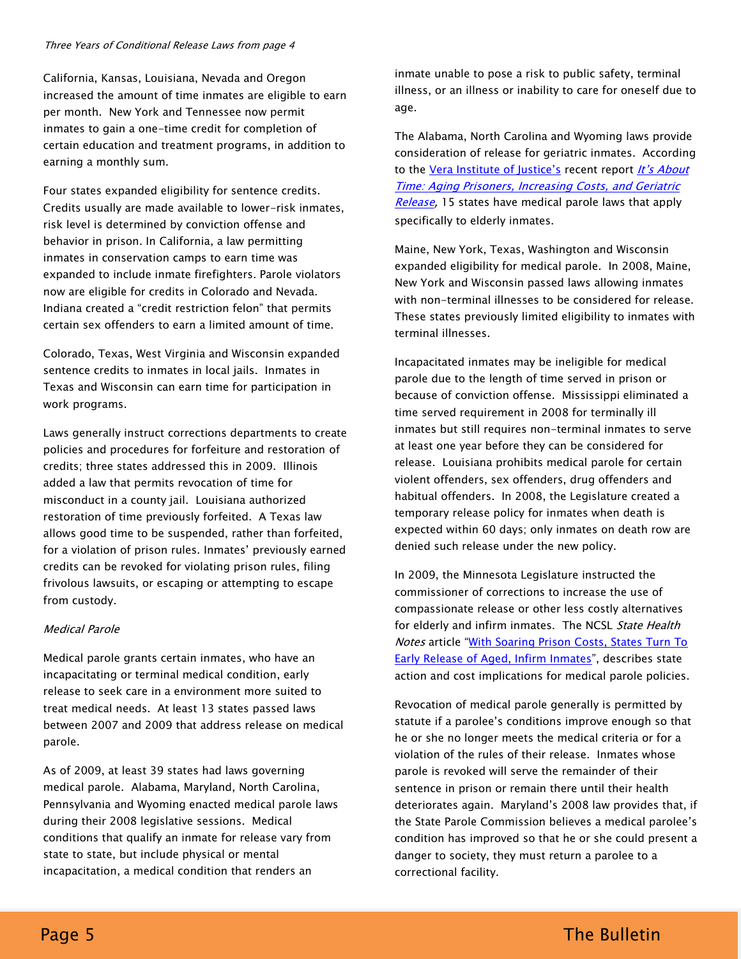#### Three Years of Conditional Release Laws from page 4

California, Kansas, Louisiana, Nevada and Oregon increased the amount of time inmates are eligible to earn per month. New York and Tennessee now permit inmates to gain a one-time credit for completion of certain education and treatment programs, in addition to earning a monthly sum.

Four states expanded eligibility for sentence credits. Credits usually are made available to lower-risk inmates, risk level is determined by conviction offense and behavior in prison. In California, a law permitting inmates in conservation camps to earn time was expanded to include inmate firefighters. Parole violators now are eligible for credits in Colorado and Nevada. Indiana created a "credit restriction felon" that permits certain sex offenders to earn a limited amount of time.

Colorado, Texas, West Virginia and Wisconsin expanded sentence credits to inmates in local jails. Inmates in Texas and Wisconsin can earn time for participation in work programs.

Laws generally instruct corrections departments to create policies and procedures for forfeiture and restoration of credits; three states addressed this in 2009. Illinois added a law that permits revocation of time for misconduct in a county jail. Louisiana authorized restoration of time previously forfeited. A Texas law allows good time to be suspended, rather than forfeited, for a violation of prison rules. Inmates' previously earned credits can be revoked for violating prison rules, filing frivolous lawsuits, or escaping or attempting to escape from custody.

#### Medical Parole

Medical parole grants certain inmates, who have an incapacitating or terminal medical condition, early release to seek care in a environment more suited to treat medical needs. At least 13 states passed laws between 2007 and 2009 that address release on medical parole.

As of 2009, at least 39 states had laws governing medical parole. Alabama, Maryland, North Carolina, Pennsylvania and Wyoming enacted medical parole laws during their 2008 legislative sessions. Medical conditions that qualify an inmate for release vary from state to state, but include physical or mental incapacitation, a medical condition that renders an

inmate unable to pose a risk to public safety, terminal illness, or an illness or inability to care for oneself due to age.

The Alabama, North Carolina and Wyoming laws provide consideration of release for geriatric inmates. According to the [Vera Institute o](http://www.vera.org/)f Justice's recent report It's About [Time: Aging Prisoners, Increasing Costs, and Geriatric](http://www.vera.org/content/its-about-time-aging-prisoners-increasing-costs-and-geriatric-release)  [Release](http://www.vera.org/content/its-about-time-aging-prisoners-increasing-costs-and-geriatric-release), 15 states have medical parole laws that apply specifically to elderly inmates.

Maine, New York, Texas, Washington and Wisconsin expanded eligibility for medical parole. In 2008, Maine, New York and Wisconsin passed laws allowing inmates with non-terminal illnesses to be considered for release. These states previously limited eligibility to inmates with terminal illnesses.

Incapacitated inmates may be ineligible for medical parole due to the length of time served in prison or because of conviction offense. Mississippi eliminated a time served requirement in 2008 for terminally ill inmates but still requires non-terminal inmates to serve at least one year before they can be considered for release. Louisiana prohibits medical parole for certain violent offenders, sex offenders, drug offenders and habitual offenders. In 2008, the Legislature created a temporary release policy for inmates when death is expected within 60 days; only inmates on death row are denied such release under the new policy.

In 2009, the Minnesota Legislature instructed the commissioner of corrections to increase the use of compassionate release or other less costly alternatives for elderly and infirm inmates. The NCSL State Health Notes article "With Soaring Prison Costs, States Turn To [Early Release of Aged, Infirm Inmates](http://www.ncsl.org/default.aspx?tabid=14647)", describes state action and cost implications for medical parole policies.

Revocation of medical parole generally is permitted by statute if a parolee's conditions improve enough so that he or she no longer meets the medical criteria or for a violation of the rules of their release. Inmates whose parole is revoked will serve the remainder of their sentence in prison or remain there until their health deteriorates again. Maryland's 2008 law provides that, if the State Parole Commission believes a medical parolee's condition has improved so that he or she could present a danger to society, they must return a parolee to a correctional facility.